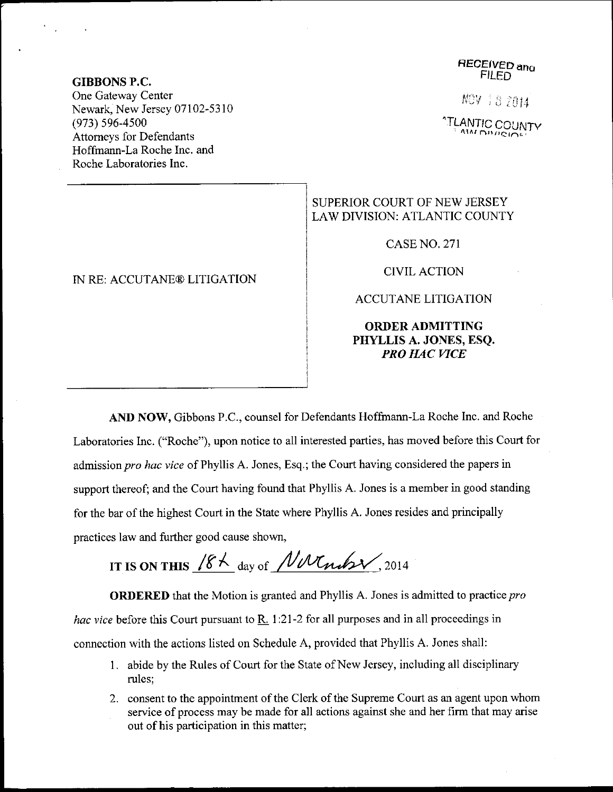## RECEIVED and **FILED**

NOV 18 2014

**"TLANTIC COUNTY** 

## SUPERIOR COURT OF NEW JERSEY LAW DIVISION: ATLANTIC COUNTY

CASE NO, 271

CIVIL ACTION

ACCUTANE LITIGATION

ORDERADMITTING PHYLLIS A. JONES, ESQ. PRO HAC VICE

AND NOW, Gibbons P.C., counsel for Defendants Hoffmann-La Roche Inc. and Roche Laboratories lnc. ("Roche"), upon notice to all interested parties, has moved before this Court for admission pro hac vice of Phyllis A. Jones, Esq.; the Court having considered the papers in support thereof; and the Court having found that Phyllis A. Jones is a member in good standing for the bar of the highest Court in the State where Phyllis A. Jones resides and principally practices law and further good cause shown,

IT IS ON THIS  $18 \text{ A}$  day of  $\text{N}$ *N*  $\text{N}$ n  $\text{N}$ , 2014

ORDERED that the Motion is granted and Phyllis A. Jones is admitted to practice pro hac vice before this Court pursuant to R. 1:21-2 for all purposes and in all proceedings in connection with the actions listed on Schedule A, provided that Phyllis A. Jones shall:

- <sup>1</sup>. abide by the Rules of Court for the State of New Jersey, including all disciplinary rules;
- <sup>2</sup>. consent to the appointment of the Clerk of the Supreme Court as an agent upon whom service of process may be made for all actions against she and her firm that may arise out of his participation in this matter;

GIBBONS P.C.

One Gateway Center Newark, New Jersey 07102-53 l0 (973) 596-4s00 Attomeys for Defendants Hoffmann-La Roche Inc. and Roche Laboratories Inc.

## IN RE: ACCUTANE@ LITIGATION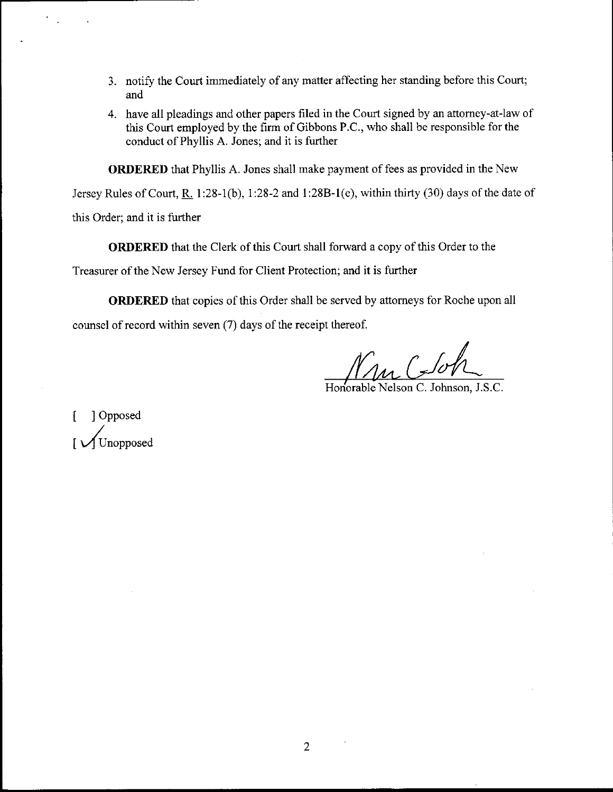- 3. notify the Court immediately of any matter affecting her standing before this Court; and
- 4. have all pleadings and other papers filed in the Court signed by an attomey-at-law of this Court employed by the firm of Gibbons P.C., who shall be responsible for the conduct of Phyllis A. Jones; and it is further

ORDERED that Phyllis A. Jones shall make payment of fees as provided in the New

Jersey Rules of Court, R. 1:28-1(b), 1:28-2 and 1:28B-1(e), within thirty (30) days of the date of

this Order; and it is further

ORDERED that the Clerk of this Court shall forward a copy of this Order to the

Treasurer of the New Jersey Fund for Client Protection; and it is further

ORDERED that copies of this Order shall be served by attomeys for Roche upon all counsel of record within seven (7) days of the receipt thereof.

Mu CJoh

[ ]Opposed Unopposed